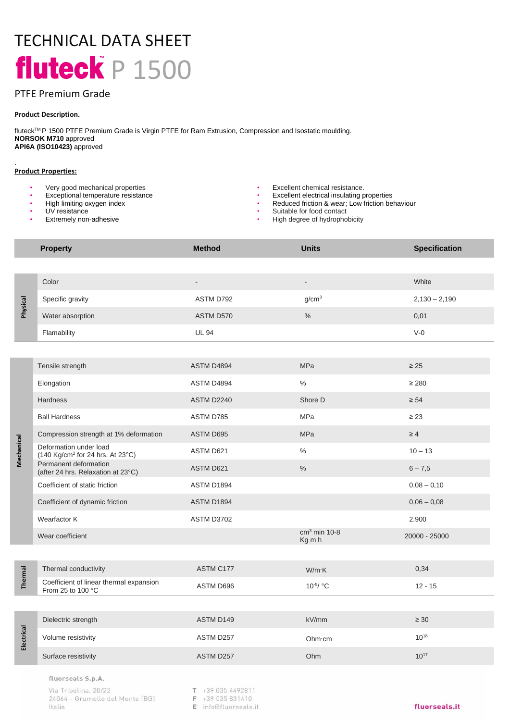# TECHNICAL DATA SHEET fluteck  $P$  1500

# PTFE Premium Grade

## **Product Description.**

fluteckTM P 1500 PTFE Premium Grade is Virgin PTFE for Ram Extrusion, Compression and Isostatic moulding. **NORSOK M710** approved **API6A (ISO10423)** approved

## **Product Properties:**

.

- 
- Very good mechanical properties  **Excellent chemical resistance.**<br>• Excellent electrical insulating p<br>• Excellent electrical insulating p
- High limiting oxygen index
- UV resistance
- **Extremely non-adhesive**
- 
- Excellent electrical insulating properties
- Reduced friction & wear; Low friction behaviour<br>• Suitable for food contact
- Suitable for food contact
	- High degree of hydrophobicity

|            | <b>Property</b>                                                        | <b>Method</b>            | <b>Units</b>             | <b>Specification</b> |
|------------|------------------------------------------------------------------------|--------------------------|--------------------------|----------------------|
|            |                                                                        |                          |                          |                      |
|            | Color                                                                  | $\overline{\phantom{a}}$ | $\overline{\phantom{a}}$ | White                |
| Physical   | Specific gravity                                                       | ASTM D792                | g/cm <sup>3</sup>        | $2,130 - 2,190$      |
|            | Water absorption                                                       | ASTM D570                | $\%$                     | 0,01                 |
|            | Flamability                                                            | <b>UL 94</b>             |                          | $V-0$                |
|            |                                                                        |                          |                          |                      |
| Mechanical | Tensile strength                                                       | ASTM D4894               | MPa                      | $\geq 25$            |
|            | Elongation                                                             | ASTM D4894               | $\%$                     | $\geq 280$           |
|            | Hardness                                                               | ASTM D2240               | Shore D                  | $\geq 54$            |
|            | <b>Ball Hardness</b>                                                   | ASTM D785                | MPa                      | $\geq 23$            |
|            | Compression strength at 1% deformation                                 | ASTM D695                | MPa                      | $\geq 4$             |
|            | Deformation under load<br>(140 Kg/cm <sup>2</sup> for 24 hrs. At 23°C) | ASTM D621                | $\%$                     | $10 - 13$            |
|            | Permanent deformation<br>(after 24 hrs. Relaxation at 23°C)            | ASTM D621                | $\%$                     | $6 - 7,5$            |
|            | Coefficient of static friction                                         | ASTM D1894               |                          | $0,08 - 0,10$        |
|            | Coefficient of dynamic friction                                        | ASTM D1894               |                          | $0,06 - 0,08$        |
|            | Wearfactor K                                                           | ASTM D3702               |                          | 2.900                |
|            | Wear coefficient                                                       |                          | $cm3$ min 10-8<br>Kg m h | 20000 - 25000        |
|            |                                                                        |                          |                          |                      |
| Thermal    | Thermal conductivity                                                   | ASTM C177                | W/m·K                    | 0,34                 |
|            | Coefficient of linear thermal expansion<br>From 25 to 100 °C           | ASTM D696                | 10-5/ °C                 | $12 - 15$            |
|            |                                                                        |                          |                          |                      |
| Electrical | Dielectric strength                                                    | ASTM D149                | kV/mm                    | $\geq 30$            |
|            | Volume resistivity                                                     | ASTM D257                | Ohm·cm                   | $10^{18}$            |
|            | Surface resistivity                                                    | ASTM D257                | Ohm                      | $10^{17}$            |
|            | fluorseals S.p.A.                                                      |                          |                          |                      |

Via Tribolina, 20/22 24064 - Grumello del Monte (BG) Italia

- $T + 390354492811$
- F +39 035 831410
- E info@fluorseals.it

#### fluorseals.it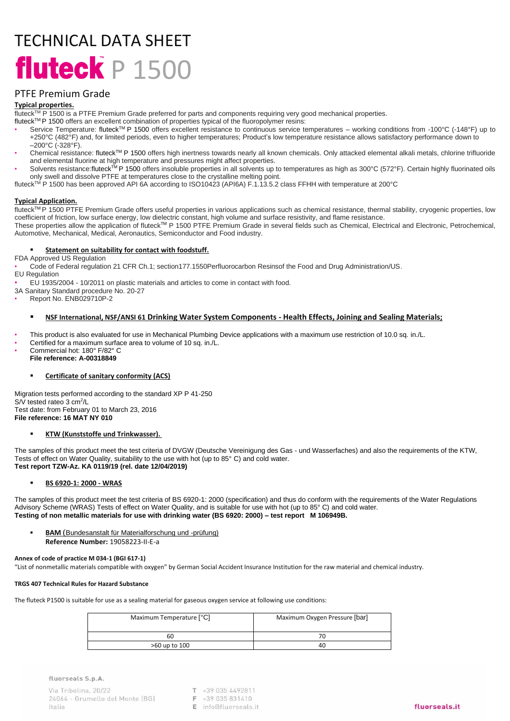# TECHNICAL DATA SHEET fluteck  $P 1500$

# PTFE Premium Grade

## **Typical properties.**

fluteckTM P 1500 is a PTFE Premium Grade preferred for parts and components requiring very good mechanical properties.

- fluteck<sup>TM</sup> P 1500 offers an excellent combination of properties typical of the fluoropolymer resins:
- Service Temperature: fluteck™ P 1500 offers excellent resistance to continuous service temperatures working conditions from -100°C (-148°F) up to +250°C (482°F) and, for limited periods, even to higher temperatures; Product's low temperature resistance allows satisfactory performance down to –200°C (-328°F).
- Chemical resistance: fluteckTM P 1500 offers high inertness towards nearly all known chemicals. Only attacked elemental alkali metals, chlorine trifluoride and elemental fluorine at high temperature and pressures might affect properties.
- Solvents resistance:fluteck™ P 1500 offers insoluble properties in all solvents up to temperatures as high as 300°C (572°F). Certain highly fluorinated oils only swell and dissolve PTFE at temperatures close to the crystalline melting point.

fluteck<sup>TM</sup> P 1500 has been approved API 6A according to ISO10423 (API6A) F.1.13.5.2 class FFHH with temperature at 200°C

### **Typical Application.**

fluteck<sup>TM</sup> P 1500 PTFE Premium Grade offers useful properties in various applications such as chemical resistance, thermal stability, cryogenic properties, low coefficient of friction, low surface energy, low dielectric constant, high volume and surface resistivity, and flame resistance.

These properties allow the application of fluteck™ P 1500 PTFE Premium Grade in several fields such as Chemical, Electrical and Electronic, Petrochemical, Automotive, Mechanical, Medical, Aeronautics, Semiconductor and Food industry.

#### **Statement on suitability for contact with foodstuff.**

FDA Approved US Regulation

• Code of Federal regulation 21 CFR Ch.1; section177.1550Perfluorocarbon Resinsof the Food and Drug Administration/US. EU Regulation

• EU 1935/2004 - 10/2011 on plastic materials and articles to come in contact with food.

- 3A Sanitary Standard procedure No. 20-27
- Report No. ENB029710P-2

### ▪ **NSF International, NSF/ANSI 61 Drinking Water System Components - Health Effects, Joining and Sealing Materials;**

• This product is also evaluated for use in Mechanical Plumbing Device applications with a maximum use restriction of 10.0 sq. in./L.

- Certified for a maximum surface area to volume of 10 sq. in./L.
- Commercial hot: 180° F/82° C **File reference: A-00318849**

#### **Certificate of sanitary conformity (ACS)**

Migration tests performed according to the standard XP P 41-250 S/V tested rateo 3 cm<sup>2</sup>/L Test date: from February 01 to March 23, 2016 **File reference: 16 MAT NY 010**

#### **KTW (Kunststoffe und Trinkwasser).**

The samples of this product meet the test criteria of DVGW (Deutsche Vereinigung des Gas - und Wasserfaches) and also the requirements of the KTW, Tests of effect on Water Quality, suitability to the use with hot (up to 85° C) and cold water. **Test report TZW-Az. KA 0119/19 (rel. date 12/04/2019)** 

## ▪ **BS 6920-1: 2000 - WRAS**

The samples of this product meet the test criteria of BS 6920-1: 2000 (specification) and thus do conform with the requirements of the Water Regulations Advisory Scheme (WRAS) Tests of effect on Water Quality, and is suitable for use with hot (up to 85° C) and cold water. **Testing of non metallic materials for use with drinking water (BS 6920: 2000) – test report M 106949B.**

**BAM** (Bundesanstalt für Materialforschung und -prüfung) **Reference Number:** 19058223-II-E-a

#### **Annex of code of practice M 034-1 (BGI 617-1)**

"List of nonmetallic materials compatible with oxygen" by German Social Accident Insurance Institution for the raw material and chemical industry.

#### **TRGS 407 Technical Rules for Hazard Substance**

The fluteck P1500 is suitable for use as a sealing material for gaseous oxygen service at following use conditions:

| Maximum Temperature [°C] | Maximum Oxygen Pressure [bar] |  |
|--------------------------|-------------------------------|--|
| 60                       | 70                            |  |
| >60 up to 100            | 40                            |  |

fluorseals S.p.A.

Via Tribolina, 20/22 24064 - Grumello del Monte (BG) Italia